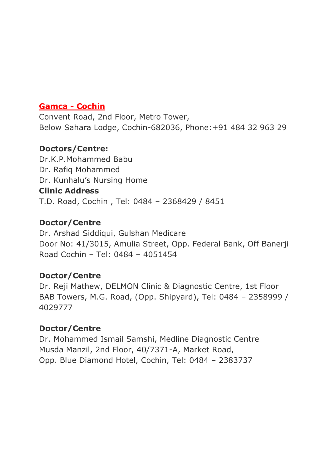#### **Gamca - Cochin**

Convent Road, 2nd Floor, Metro Tower, Below Sahara Lodge, Cochin-682036, Phone:+91 484 32 963 29

#### **Doctors/Centre:**

Dr.K.P.Mohammed Babu Dr. Rafiq Mohammed Dr. Kunhalu's Nursing Home **Clinic Address** T.D. Road, Cochin , Tel: 0484 – 2368429 / 8451

#### **Doctor/Centre**

Dr. Arshad Siddiqui, Gulshan Medicare Door No: 41/3015, Amulia Street, Opp. Federal Bank, Off Banerji Road Cochin – Tel: 0484 – 4051454

#### **Doctor/Centre**

Dr. Reji Mathew, DELMON Clinic & Diagnostic Centre, 1st Floor BAB Towers, M.G. Road, (Opp. Shipyard), Tel: 0484 – 2358999 / 4029777

## **Doctor/Centre**

Dr. Mohammed Ismail Samshi, Medline Diagnostic Centre Musda Manzil, 2nd Floor, 40/7371-A, Market Road, Opp. Blue Diamond Hotel, Cochin, Tel: 0484 – 2383737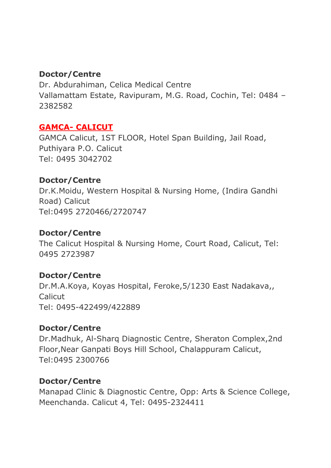### **Doctor/Centre**

Dr. Abdurahiman, Celica Medical Centre Vallamattam Estate, Ravipuram, M.G. Road, Cochin, Tel: 0484 – 2382582

### **GAMCA- CALICUT**

GAMCA Calicut, 1ST FLOOR, Hotel Span Building, Jail Road, Puthiyara P.O. Calicut Tel: 0495 3042702

### **Doctor/Centre**

Dr.K.Moidu, Western Hospital & Nursing Home, (Indira Gandhi Road) Calicut Tel:0495 2720466/2720747

### **Doctor/Centre**

The Calicut Hospital & Nursing Home, Court Road, Calicut, Tel: 0495 2723987

## **Doctor/Centre**

Dr.M.A.Koya, Koyas Hospital, Feroke,5/1230 East Nadakava,, Calicut Tel: 0495-422499/422889

## **Doctor/Centre**

Dr.Madhuk, Al-Sharq Diagnostic Centre, Sheraton Complex,2nd Floor,Near Ganpati Boys Hill School, Chalappuram Calicut, Tel:0495 2300766

#### **Doctor/Centre**

Manapad Clinic & Diagnostic Centre, Opp: Arts & Science College, Meenchanda. Calicut 4, Tel: 0495-2324411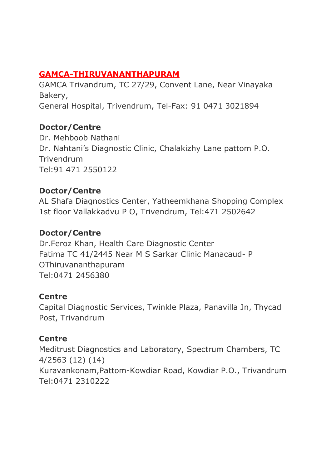# **GAMCA-THIRUVANANTHAPURAM**

GAMCA Trivandrum, TC 27/29, Convent Lane, Near Vinayaka Bakery, General Hospital, Trivendrum, Tel-Fax: 91 0471 3021894

### **Doctor/Centre**

Dr. Mehboob Nathani Dr. Nahtani's Diagnostic Clinic, Chalakizhy Lane pattom P.O. Trivendrum Tel:91 471 2550122

## **Doctor/Centre**

AL Shafa Diagnostics Center, Yatheemkhana Shopping Complex 1st floor Vallakkadvu P O, Trivendrum, Tel:471 2502642

#### **Doctor/Centre**

Dr.Feroz Khan, Health Care Diagnostic Center Fatima TC 41/2445 Near M S Sarkar Clinic Manacaud- P OThiruvananthapuram Tel:0471 2456380

#### **Centre**

Capital Diagnostic Services, Twinkle Plaza, Panavilla Jn, Thycad Post, Trivandrum

## **Centre**

Meditrust Diagnostics and Laboratory, Spectrum Chambers, TC 4/2563 (12) (14) Kuravankonam,Pattom-Kowdiar Road, Kowdiar P.O., Trivandrum Tel:0471 2310222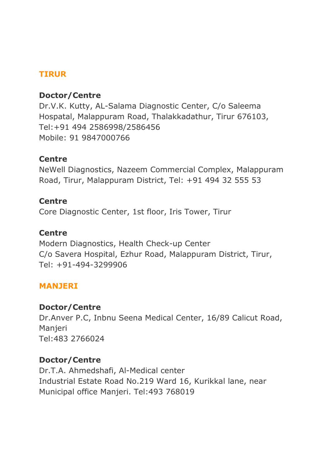### **TIRUR**

#### **Doctor/Centre**

Dr.V.K. Kutty, AL-Salama Diagnostic Center, C/o Saleema Hospatal, Malappuram Road, Thalakkadathur, Tirur 676103, Tel:+91 494 2586998/2586456 Mobile: 91 9847000766

#### **Centre**

NeWell Diagnostics, Nazeem Commercial Complex, Malappuram Road, Tirur, Malappuram District, Tel: +91 494 32 555 53

#### **Centre**

Core Diagnostic Center, 1st floor, Iris Tower, Tirur

#### **Centre**

Modern Diagnostics, Health Check-up Center C/o Savera Hospital, Ezhur Road, Malappuram District, Tirur, Tel: +91-494-3299906

#### **MANJERI**

#### **Doctor/Centre**

Dr.Anver P.C, Inbnu Seena Medical Center, 16/89 Calicut Road, **Manjeri** Tel:483 2766024

#### **Doctor/Centre**

Dr.T.A. Ahmedshafi, Al-Medical center Industrial Estate Road No.219 Ward 16, Kurikkal lane, near Municipal office Manjeri. Tel:493 768019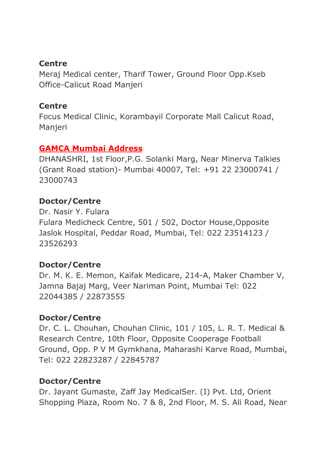#### **Centre**

Meraj Medical center, Tharif Tower, Ground Floor Opp.Kseb Office-Calicut Road Manjeri

#### **Centre**

Focus Medical Clinic, Korambayil Corporate Mall Calicut Road, Manjeri

### **GAMCA Mumbai Address**

DHANASHRI, 1st Floor,P.G. Solanki Marg, Near Minerva Talkies (Grant Road station)- Mumbai 40007, Tel: +91 22 23000741 / 23000743

## **Doctor/Centre**

Dr. Nasir Y. Fulara Fulara Medicheck Centre, 501 / 502, Doctor House,Opposite Jaslok Hospital, Peddar Road, Mumbai, Tel: 022 23514123 / 23526293

## **Doctor/Centre**

Dr. M. K. E. Memon, Kaifak Medicare, 214-A, Maker Chamber V, Jamna Bajaj Marg, Veer Nariman Point, Mumbai Tel: 022 22044385 / 22873555

## **Doctor/Centre**

Dr. C. L. Chouhan, Chouhan Clinic, 101 / 105, L. R. T. Medical & Research Centre, 10th Floor, Opposite Cooperage Football Ground, Opp. P V M Gymkhana, Maharashi Karve Road, Mumbai, Tel: 022 22823287 / 22845787

## **Doctor/Centre**

Dr. Jayant Gumaste, Zaff Jay MedicalSer. (I) Pvt. Ltd, Orient Shopping Plaza, Room No. 7 & 8, 2nd Floor, M. S. Ali Road, Near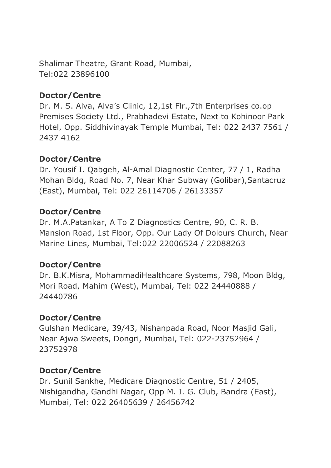Shalimar Theatre, Grant Road, Mumbai, Tel:022 23896100

## **Doctor/Centre**

Dr. M. S. Alva, Alva's Clinic, 12,1st Flr.,7th Enterprises co.op Premises Society Ltd., Prabhadevi Estate, Next to Kohinoor Park Hotel, Opp. Siddhivinayak Temple Mumbai, Tel: 022 2437 7561 / 2437 4162

# **Doctor/Centre**

Dr. Yousif I. Qabgeh, Al-Amal Diagnostic Center, 77 / 1, Radha Mohan Bldg, Road No. 7, Near Khar Subway (Golibar),Santacruz (East), Mumbai, Tel: 022 26114706 / 26133357

## **Doctor/Centre**

Dr. M.A.Patankar, A To Z Diagnostics Centre, 90, C. R. B. Mansion Road, 1st Floor, Opp. Our Lady Of Dolours Church, Near Marine Lines, Mumbai, Tel:022 22006524 / 22088263

## **Doctor/Centre**

Dr. B.K.Misra, MohammadiHealthcare Systems, 798, Moon Bldg, Mori Road, Mahim (West), Mumbai, Tel: 022 24440888 / 24440786

## **Doctor/Centre**

Gulshan Medicare, 39/43, Nishanpada Road, Noor Masjid Gali, Near Ajwa Sweets, Dongri, Mumbai, Tel: 022-23752964 / 23752978

# **Doctor/Centre**

Dr. Sunil Sankhe, Medicare Diagnostic Centre, 51 / 2405, Nishigandha, Gandhi Nagar, Opp M. I. G. Club, Bandra (East), Mumbai, Tel: 022 26405639 / 26456742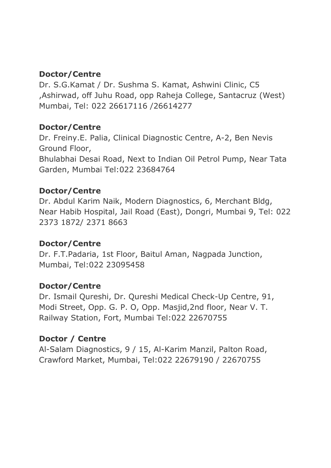### **Doctor/Centre**

Dr. S.G.Kamat / Dr. Sushma S. Kamat, Ashwini Clinic, C5 ,Ashirwad, off Juhu Road, opp Raheja College, Santacruz (West) Mumbai, Tel: 022 26617116 /26614277

### **Doctor/Centre**

Dr. Freiny.E. Palia, Clinical Diagnostic Centre, A-2, Ben Nevis Ground Floor, Bhulabhai Desai Road, Next to Indian Oil Petrol Pump, Near Tata Garden, Mumbai Tel:022 23684764

## **Doctor/Centre**

Dr. Abdul Karim Naik, Modern Diagnostics, 6, Merchant Bldg, Near Habib Hospital, Jail Road (East), Dongri, Mumbai 9, Tel: 022 2373 1872/ 2371 8663

## **Doctor/Centre**

Dr. F.T.Padaria, 1st Floor, Baitul Aman, Nagpada Junction, Mumbai, Tel:022 23095458

## **Doctor/Centre**

Dr. Ismail Qureshi, Dr. Qureshi Medical Check-Up Centre, 91, Modi Street, Opp. G. P. O, Opp. Masjid,2nd floor, Near V. T. Railway Station, Fort, Mumbai Tel:022 22670755

## **Doctor / Centre**

Al-Salam Diagnostics, 9 / 15, Al-Karim Manzil, Palton Road, Crawford Market, Mumbai, Tel:022 22679190 / 22670755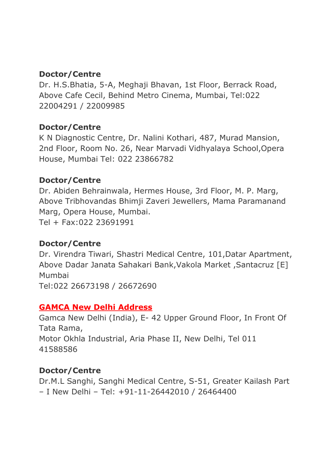### **Doctor/Centre**

Dr. H.S.Bhatia, 5-A, Meghaji Bhavan, 1st Floor, Berrack Road, Above Cafe Cecil, Behind Metro Cinema, Mumbai, Tel:022 22004291 / 22009985

### **Doctor/Centre**

K N Diagnostic Centre, Dr. Nalini Kothari, 487, Murad Mansion, 2nd Floor, Room No. 26, Near Marvadi Vidhyalaya School,Opera House, Mumbai Tel: 022 23866782

### **Doctor/Centre**

Dr. Abiden Behrainwala, Hermes House, 3rd Floor, M. P. Marg, Above Tribhovandas Bhimji Zaveri Jewellers, Mama Paramanand Marg, Opera House, Mumbai. Tel + Fax:022 23691991

#### **Doctor/Centre**

Dr. Virendra Tiwari, Shastri Medical Centre, 101,Datar Apartment, Above Dadar Janata Sahakari Bank,Vakola Market ,Santacruz [E] Mumbai Tel:022 26673198 / 26672690

## **GAMCA New Delhi Address**

Gamca New Delhi (India), E- 42 Upper Ground Floor, In Front Of Tata Rama, Motor Okhla Industrial, Aria Phase II, New Delhi, Tel 011 41588586

## **Doctor/Centre**

Dr.M.L Sanghi, Sanghi Medical Centre, S-51, Greater Kailash Part – I New Delhi – Tel: +91-11-26442010 / 26464400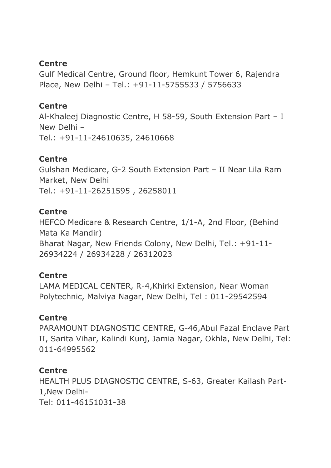#### **Centre**

Gulf Medical Centre, Ground floor, Hemkunt Tower 6, Rajendra Place, New Delhi – Tel.: +91-11-5755533 / 5756633

#### **Centre**

Al-Khaleej Diagnostic Centre, H 58-59, South Extension Part – I New Delhi – Tel.: +91-11-24610635, 24610668

#### **Centre**

Gulshan Medicare, G-2 South Extension Part – II Near Lila Ram Market, New Delhi Tel.: +91-11-26251595 , 26258011

#### **Centre**

HEFCO Medicare & Research Centre, 1/1-A, 2nd Floor, (Behind Mata Ka Mandir) Bharat Nagar, New Friends Colony, New Delhi, Tel.: +91-11- 26934224 / 26934228 / 26312023

#### **Centre**

LAMA MEDICAL CENTER, R-4,Khirki Extension, Near Woman Polytechnic, Malviya Nagar, New Delhi, Tel : 011-29542594

#### **Centre**

PARAMOUNT DIAGNOSTIC CENTRE, G-46,Abul Fazal Enclave Part II, Sarita Vihar, Kalindi Kunj, Jamia Nagar, Okhla, New Delhi, Tel: 011-64995562

#### **Centre**

HEALTH PLUS DIAGNOSTIC CENTRE, S-63, Greater Kailash Part-1,New Delhi-Tel: 011-46151031-38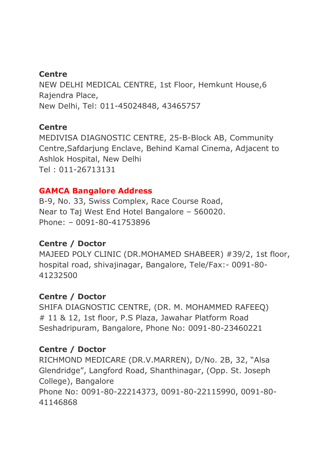### **Centre**

NEW DELHI MEDICAL CENTRE, 1st Floor, Hemkunt House,6 Rajendra Place, New Delhi, Tel: 011-45024848, 43465757

#### **Centre**

MEDIVISA DIAGNOSTIC CENTRE, 25-B-Block AB, Community Centre,Safdarjung Enclave, Behind Kamal Cinema, Adjacent to Ashlok Hospital, New Delhi Tel : 011-26713131

#### **GAMCA Bangalore Address**

B-9, No. 33, Swiss Complex, Race Course Road, Near to Taj West End Hotel Bangalore – 560020. Phone: – 0091-80-41753896

#### **Centre / Doctor**

MAJEED POLY CLINIC (DR.MOHAMED SHABEER) #39/2, 1st floor, hospital road, shivajinagar, Bangalore, Tele/Fax:- 0091-80- 41232500

#### **Centre / Doctor**

SHIFA DIAGNOSTIC CENTRE, (DR. M. MOHAMMED RAFEEQ) # 11 & 12, 1st floor, P.S Plaza, Jawahar Platform Road Seshadripuram, Bangalore, Phone No: 0091-80-23460221

## **Centre / Doctor**

RICHMOND MEDICARE (DR.V.MARREN), D/No. 2B, 32, "Alsa Glendridge", Langford Road, Shanthinagar, (Opp. St. Joseph College), Bangalore Phone No: 0091-80-22214373, 0091-80-22115990, 0091-80- 41146868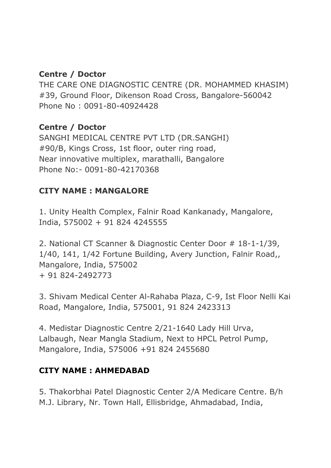### **Centre / Doctor**

THE CARE ONE DIAGNOSTIC CENTRE (DR. MOHAMMED KHASIM) #39, Ground Floor, Dikenson Road Cross, Bangalore-560042 Phone No : 0091-80-40924428

### **Centre / Doctor**

SANGHI MEDICAL CENTRE PVT LTD (DR.SANGHI) #90/B, Kings Cross, 1st floor, outer ring road, Near innovative multiplex, marathalli, Bangalore Phone No:- 0091-80-42170368

## **CITY NAME : MANGALORE**

1. Unity Health Complex, Falnir Road Kankanady, Mangalore, India, 575002 + 91 824 4245555

2. National CT Scanner & Diagnostic Center Door # 18-1-1/39, 1/40, 141, 1/42 Fortune Building, Avery Junction, Falnir Road,, Mangalore, India, 575002 + 91 824-2492773

3. Shivam Medical Center Al-Rahaba Plaza, C-9, Ist Floor Nelli Kai Road, Mangalore, India, 575001, 91 824 2423313

4. Medistar Diagnostic Centre 2/21-1640 Lady Hill Urva, Lalbaugh, Near Mangla Stadium, Next to HPCL Petrol Pump, Mangalore, India, 575006 +91 824 2455680

## **CITY NAME : AHMEDABAD**

5. Thakorbhai Patel Diagnostic Center 2/A Medicare Centre. B/h M.J. Library, Nr. Town Hall, Ellisbridge, Ahmadabad, India,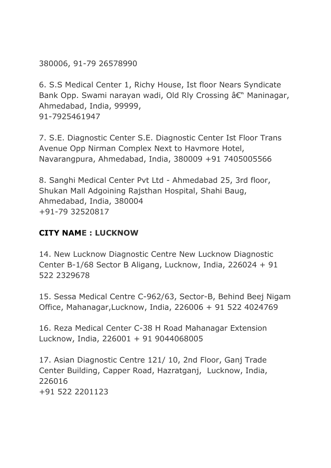380006, 91-79 26578990

6. S.S Medical Center 1, Richy House, Ist floor Nears Syndicate Bank Opp. Swami narayan wadi, Old Rly Crossing â€" Maninagar, Ahmedabad, India, 99999, 91-7925461947

7. S.E. Diagnostic Center S.E. Diagnostic Center Ist Floor Trans Avenue Opp Nirman Complex Next to Havmore Hotel, Navarangpura, Ahmedabad, India, 380009 +91 7405005566

8. Sanghi Medical Center Pvt Ltd - Ahmedabad 25, 3rd floor, Shukan Mall Adgoining Rajsthan Hospital, Shahi Baug, Ahmedabad, India, 380004 +91-79 32520817

# **CITY NAME : LUCKNOW**

14. New Lucknow Diagnostic Centre New Lucknow Diagnostic Center B-1/68 Sector B Aligang, Lucknow, India, 226024 + 91 522 2329678

15. Sessa Medical Centre C-962/63, Sector-B, Behind Beej Nigam Office, Mahanagar,Lucknow, India, 226006 + 91 522 4024769

16. Reza Medical Center C-38 H Road Mahanagar Extension Lucknow, India, 226001 + 91 9044068005

17. Asian Diagnostic Centre 121/ 10, 2nd Floor, Ganj Trade Center Building, Capper Road, Hazratganj, Lucknow, India, 226016 +91 522 2201123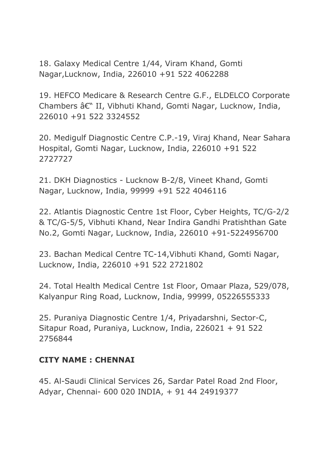18. Galaxy Medical Centre 1/44, Viram Khand, Gomti Nagar,Lucknow, India, 226010 +91 522 4062288

19. HEFCO Medicare & Research Centre G.F., ELDELCO Corporate Chambers â€" II, Vibhuti Khand, Gomti Nagar, Lucknow, India, 226010 +91 522 3324552

20. Medigulf Diagnostic Centre C.P.-19, Viraj Khand, Near Sahara Hospital, Gomti Nagar, Lucknow, India, 226010 +91 522 2727727

21. DKH Diagnostics - Lucknow B-2/8, Vineet Khand, Gomti Nagar, Lucknow, India, 99999 +91 522 4046116

22. Atlantis Diagnostic Centre 1st Floor, Cyber Heights, TC/G-2/2 & TC/G-5/5, Vibhuti Khand, Near Indira Gandhi Pratishthan Gate No.2, Gomti Nagar, Lucknow, India, 226010 +91-5224956700

23. Bachan Medical Centre TC-14,Vibhuti Khand, Gomti Nagar, Lucknow, India, 226010 +91 522 2721802

24. Total Health Medical Centre 1st Floor, Omaar Plaza, 529/078, Kalyanpur Ring Road, Lucknow, India, 99999, 05226555333

25. Puraniya Diagnostic Centre 1/4, Priyadarshni, Sector-C, Sitapur Road, Puraniya, Lucknow, India, 226021 + 91 522 2756844

#### **CITY NAME : CHENNAI**

45. Al-Saudi Clinical Services 26, Sardar Patel Road 2nd Floor, Adyar, Chennai- 600 020 INDIA, + 91 44 24919377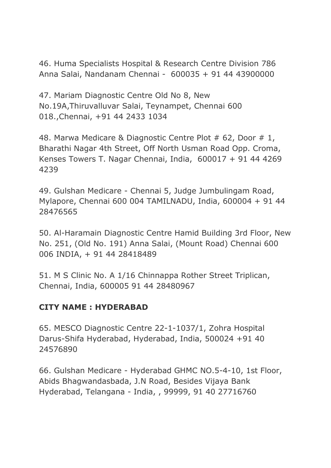46. Huma Specialists Hospital & Research Centre Division 786 Anna Salai, Nandanam Chennai - 600035 + 91 44 43900000

47. Mariam Diagnostic Centre Old No 8, New No.19A,Thiruvalluvar Salai, Teynampet, Chennai 600 018.,Chennai, +91 44 2433 1034

48. Marwa Medicare & Diagnostic Centre Plot # 62, Door # 1, Bharathi Nagar 4th Street, Off North Usman Road Opp. Croma, Kenses Towers T. Nagar Chennai, India, 600017 + 91 44 4269 4239

49. Gulshan Medicare - Chennai 5, Judge Jumbulingam Road, Mylapore, Chennai 600 004 TAMILNADU, India, 600004 + 91 44 28476565

50. Al-Haramain Diagnostic Centre Hamid Building 3rd Floor, New No. 251, (Old No. 191) Anna Salai, (Mount Road) Chennai 600 006 INDIA, + 91 44 28418489

51. M S Clinic No. A 1/16 Chinnappa Rother Street Triplican, Chennai, India, 600005 91 44 28480967

#### **CITY NAME : HYDERABAD**

65. MESCO Diagnostic Centre 22-1-1037/1, Zohra Hospital Darus-Shifa Hyderabad, Hyderabad, India, 500024 +91 40 24576890

66. Gulshan Medicare - Hyderabad GHMC NO.5-4-10, 1st Floor, Abids Bhagwandasbada, J.N Road, Besides Vijaya Bank Hyderabad, Telangana - India, , 99999, 91 40 27716760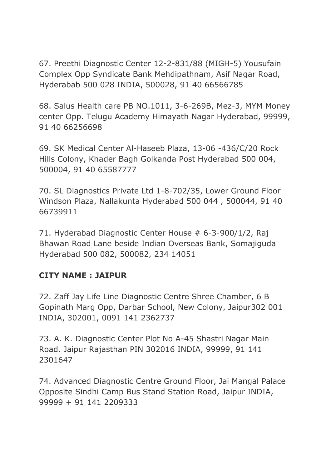67. Preethi Diagnostic Center 12-2-831/88 (MIGH-5) Yousufain Complex Opp Syndicate Bank Mehdipathnam, Asif Nagar Road, Hyderabab 500 028 INDIA, 500028, 91 40 66566785

68. Salus Health care PB NO.1011, 3-6-269B, Mez-3, MYM Money center Opp. Telugu Academy Himayath Nagar Hyderabad, 99999, 91 40 66256698

69. SK Medical Center Al-Haseeb Plaza, 13-06 -436/C/20 Rock Hills Colony, Khader Bagh Golkanda Post Hyderabad 500 004, 500004, 91 40 65587777

70. SL Diagnostics Private Ltd 1-8-702/35, Lower Ground Floor Windson Plaza, Nallakunta Hyderabad 500 044 , 500044, 91 40 66739911

71. Hyderabad Diagnostic Center House # 6-3-900/1/2, Raj Bhawan Road Lane beside Indian Overseas Bank, Somajiguda Hyderabad 500 082, 500082, 234 14051

#### **CITY NAME : JAIPUR**

72. Zaff Jay Life Line Diagnostic Centre Shree Chamber, 6 B Gopinath Marg Opp, Darbar School, New Colony, Jaipur302 001 INDIA, 302001, 0091 141 2362737

73. A. K. Diagnostic Center Plot No A-45 Shastri Nagar Main Road. Jaipur Rajasthan PIN 302016 INDIA, 99999, 91 141 2301647

74. Advanced Diagnostic Centre Ground Floor, Jai Mangal Palace Opposite Sindhi Camp Bus Stand Station Road, Jaipur INDIA, 99999 + 91 141 2209333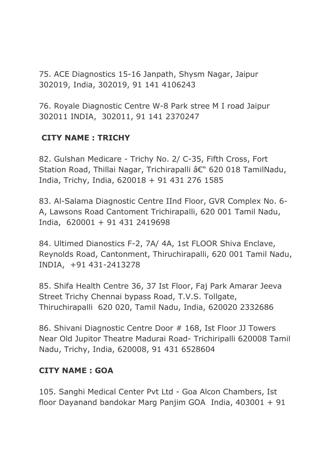75. ACE Diagnostics 15-16 Janpath, Shysm Nagar, Jaipur 302019, India, 302019, 91 141 4106243

76. Royale Diagnostic Centre W-8 Park stree M I road Jaipur 302011 INDIA, 302011, 91 141 2370247

## **CITY NAME : TRICHY**

82. Gulshan Medicare - Trichy No. 2/ C-35, Fifth Cross, Fort Station Road, Thillai Nagar, Trichirapalli â€" 620 018 TamilNadu, India, Trichy, India, 620018 + 91 431 276 1585

83. Al-Salama Diagnostic Centre IInd Floor, GVR Complex No. 6- A, Lawsons Road Cantoment Trichirapalli, 620 001 Tamil Nadu, India, 620001 + 91 431 2419698

84. Ultimed Dianostics F-2, 7A/ 4A, 1st FLOOR Shiva Enclave, Reynolds Road, Cantonment, Thiruchirapalli, 620 001 Tamil Nadu, INDIA, +91 431-2413278

85. Shifa Health Centre 36, 37 Ist Floor, Faj Park Amarar Jeeva Street Trichy Chennai bypass Road, T.V.S. Tollgate, Thiruchirapalli 620 020, Tamil Nadu, India, 620020 2332686

86. Shivani Diagnostic Centre Door # 168, Ist Floor JJ Towers Near Old Jupitor Theatre Madurai Road- Trichiripalli 620008 Tamil Nadu, Trichy, India, 620008, 91 431 6528604

#### **CITY NAME : GOA**

105. Sanghi Medical Center Pvt Ltd - Goa Alcon Chambers, Ist floor Dayanand bandokar Marg Panjim GOA India, 403001 + 91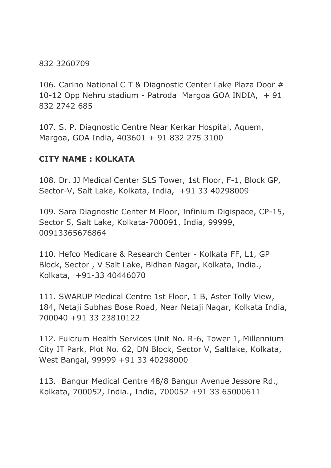832 3260709

106. Carino National C T & Diagnostic Center Lake Plaza Door # 10-12 Opp Nehru stadium - Patroda Margoa GOA INDIA, + 91 832 2742 685

107. S. P. Diagnostic Centre Near Kerkar Hospital, Aquem, Margoa, GOA India, 403601 + 91 832 275 3100

### **CITY NAME : KOLKATA**

108. Dr. JJ Medical Center SLS Tower, 1st Floor, F-1, Block GP, Sector-V, Salt Lake, Kolkata, India, +91 33 40298009

109. Sara Diagnostic Center M Floor, Infinium Digispace, CP-15, Sector 5, Salt Lake, Kolkata-700091, India, 99999, 00913365676864

110. Hefco Medicare & Research Center - Kolkata FF, L1, GP Block, Sector , V Salt Lake, Bidhan Nagar, Kolkata, India., Kolkata, +91-33 40446070

111. SWARUP Medical Centre 1st Floor, 1 B, Aster Tolly View, 184, Netaji Subhas Bose Road, Near Netaji Nagar, Kolkata India, 700040 +91 33 23810122

112. Fulcrum Health Services Unit No. R-6, Tower 1, Millennium City IT Park, Plot No. 62, DN Block, Sector V, Saltlake, Kolkata, West Bangal, 99999 +91 33 40298000

113. Bangur Medical Centre 48/8 Bangur Avenue Jessore Rd., Kolkata, 700052, India., India, 700052 +91 33 65000611